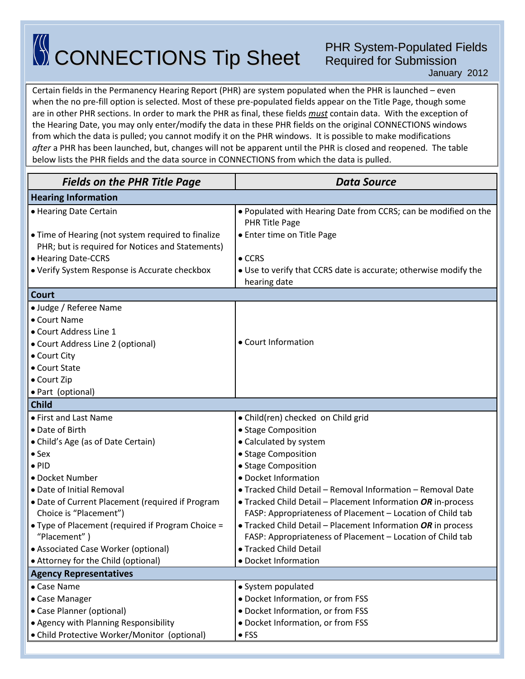## CONNECTIONS Tip Sheet

## PHR System-Populated Fields Required for Submission

January 2012

Certain fields in the Permanency Hearing Report (PHR) are system populated when the PHR is launched – even when the no pre-fill option is selected. Most of these pre-populated fields appear on the Title Page, though some are in other PHR sections. In order to mark the PHR as final, these fields *must* contain data. With the exception of the Hearing Date, you may only enter/modify the data in these PHR fields on the original CONNECTIONS windows from which the data is pulled; you cannot modify it on the PHR windows. It is possible to make modifications *after* a PHR has been launched, but, changes will not be apparent until the PHR is closed and reopened. The table below lists the PHR fields and the data source in CONNECTIONS from which the data is pulled.

| <b>Fields on the PHR Title Page</b>                                                                    | <b>Data Source</b>                                                                |  |
|--------------------------------------------------------------------------------------------------------|-----------------------------------------------------------------------------------|--|
| <b>Hearing Information</b>                                                                             |                                                                                   |  |
| • Hearing Date Certain                                                                                 | . Populated with Hearing Date from CCRS; can be modified on the<br>PHR Title Page |  |
| • Time of Hearing (not system required to finalize<br>PHR; but is required for Notices and Statements) | • Enter time on Title Page                                                        |  |
| • Hearing Date-CCRS                                                                                    | $\bullet$ CCRS                                                                    |  |
| • Verify System Response is Accurate checkbox                                                          | • Use to verify that CCRS date is accurate; otherwise modify the<br>hearing date  |  |
| Court                                                                                                  |                                                                                   |  |
| • Judge / Referee Name                                                                                 |                                                                                   |  |
| • Court Name                                                                                           |                                                                                   |  |
| • Court Address Line 1                                                                                 |                                                                                   |  |
| • Court Address Line 2 (optional)                                                                      | • Court Information                                                               |  |
| • Court City                                                                                           |                                                                                   |  |
| • Court State                                                                                          |                                                                                   |  |
| • Court Zip                                                                                            |                                                                                   |  |
| • Part (optional)                                                                                      |                                                                                   |  |
| <b>Child</b>                                                                                           |                                                                                   |  |
| • First and Last Name                                                                                  | • Child(ren) checked on Child grid                                                |  |
| • Date of Birth                                                                                        | • Stage Composition                                                               |  |
| • Child's Age (as of Date Certain)                                                                     | • Calculated by system                                                            |  |
| $•$ Sex                                                                                                | • Stage Composition                                                               |  |
| $\bullet$ PID                                                                                          | • Stage Composition                                                               |  |
| • Docket Number                                                                                        | · Docket Information                                                              |  |
| • Date of Initial Removal                                                                              | • Tracked Child Detail - Removal Information - Removal Date                       |  |
| • Date of Current Placement (required if Program                                                       | • Tracked Child Detail - Placement Information OR in-process                      |  |
| Choice is "Placement")                                                                                 | FASP: Appropriateness of Placement - Location of Child tab                        |  |
| • Type of Placement (required if Program Choice =                                                      | • Tracked Child Detail - Placement Information OR in process                      |  |
| "Placement")                                                                                           | FASP: Appropriateness of Placement - Location of Child tab                        |  |
| • Associated Case Worker (optional)                                                                    | • Tracked Child Detail                                                            |  |
| • Attorney for the Child (optional)                                                                    | · Docket Information                                                              |  |
| <b>Agency Representatives</b>                                                                          |                                                                                   |  |
| • Case Name                                                                                            | • System populated                                                                |  |
| • Case Manager                                                                                         | · Docket Information, or from FSS                                                 |  |
| • Case Planner (optional)                                                                              | • Docket Information, or from FSS                                                 |  |
| • Agency with Planning Responsibility                                                                  | • Docket Information, or from FSS                                                 |  |
| • Child Protective Worker/Monitor (optional)                                                           | $\bullet$ FSS                                                                     |  |